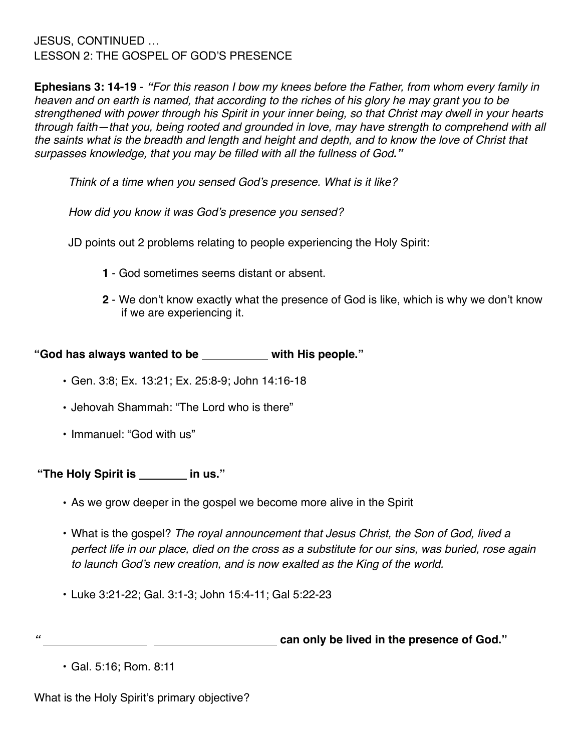JESUS, CONTINUED … LESSON 2: THE GOSPEL OF GOD'S PRESENCE

**Ephesians 3: 14-19** - *"For this reason I bow my knees before the Father, from whom every family in heaven and on earth is named, that according to the riches of his glory he may grant you to be strengthened with power through his Spirit in your inner being, so that Christ may dwell in your hearts through faith—that you, being rooted and grounded in love, may have strength to comprehend with all the saints what is the breadth and length and height and depth, and to know the love of Christ that surpasses knowledge, that you may be filled with all the fullness of God."*

*Think of a time when you sensed God's presence. What is it like?*

*How did you know it was God's presence you sensed?* 

JD points out 2 problems relating to people experiencing the Holy Spirit:

- **1** God sometimes seems distant or absent.
- **2** We don't know exactly what the presence of God is like, which is why we don't know if we are experiencing it.

"God has always wanted to be with His people."

- **•** Gen. 3:8; Ex. 13:21; Ex. 25:8-9; John 14:16-18
- **•** Jehovah Shammah: "The Lord who is there"
- **•** Immanuel: "God with us"

"The Holy Spirit is **contain the Holy Spirit is contained** in us."

- As we grow deeper in the gospel we become more alive in the Spirit
- What is the gospel? *The royal announcement that Jesus Christ, the Son of God, lived a perfect life in our place, died on the cross as a substitute for our sins, was buried, rose again to launch God's new creation, and is now exalted as the King of the world.*
- Luke 3:21-22; Gal. 3:1-3; John 15:4-11; Gal 5:22-23

**can only be lived in the presence of God."**<br> **Can only be lived in the presence of God."** 

What is the Holy Spirit's primary objective?

<sup>•</sup> Gal. 5:16; Rom. 8:11